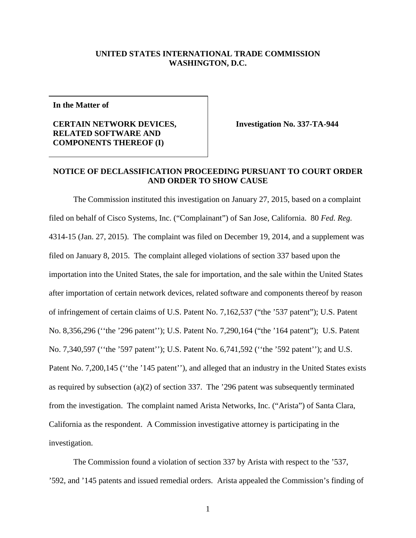## **UNITED STATES INTERNATIONAL TRADE COMMISSION WASHINGTON, D.C.**

**In the Matter of**

## **CERTAIN NETWORK DEVICES, RELATED SOFTWARE AND COMPONENTS THEREOF (I)**

**Investigation No. 337-TA-944**

## **NOTICE OF DECLASSIFICATION PROCEEDING PURSUANT TO COURT ORDER AND ORDER TO SHOW CAUSE**

The Commission instituted this investigation on January 27, 2015, based on a complaint filed on behalf of Cisco Systems, Inc. ("Complainant") of San Jose, California. 80 *Fed. Reg.* 4314-15 (Jan. 27, 2015). The complaint was filed on December 19, 2014, and a supplement was filed on January 8, 2015. The complaint alleged violations of section 337 based upon the importation into the United States, the sale for importation, and the sale within the United States after importation of certain network devices, related software and components thereof by reason of infringement of certain claims of U.S. Patent No. 7,162,537 ("the '537 patent"); U.S. Patent No. 8,356,296 (''the '296 patent''); U.S. Patent No. 7,290,164 ("the '164 patent"); U.S. Patent No. 7,340,597 (''the '597 patent''); U.S. Patent No. 6,741,592 (''the '592 patent''); and U.S. Patent No. 7,200,145 ("the '145 patent"), and alleged that an industry in the United States exists as required by subsection (a)(2) of section 337. The '296 patent was subsequently terminated from the investigation. The complaint named Arista Networks, Inc. ("Arista") of Santa Clara, California as the respondent. A Commission investigative attorney is participating in the investigation.

The Commission found a violation of section 337 by Arista with respect to the '537, '592, and '145 patents and issued remedial orders. Arista appealed the Commission's finding of

1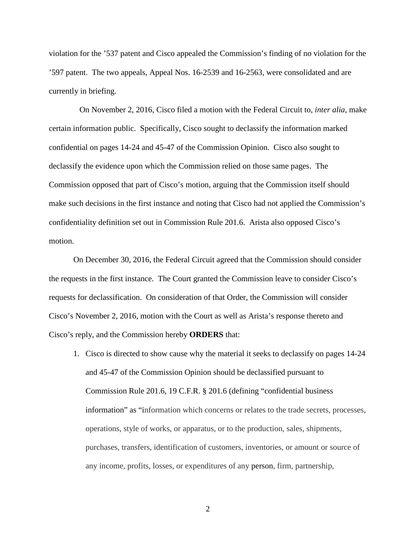violation for the '537 patent and Cisco appealed the Commission's finding of no violation for the '597 patent. The two appeals, Appeal Nos. 16-2539 and 16-2563, were consolidated and are currently in briefing.

 On November 2, 2016, Cisco filed a motion with the Federal Circuit to, *inter alia,* make certain information public. Specifically, Cisco sought to declassify the information marked confidential on pages 14-24 and 45-47 of the Commission Opinion. Cisco also sought to declassify the evidence upon which the Commission relied on those same pages. The Commission opposed that part of Cisco's motion, arguing that the Commission itself should make such decisions in the first instance and noting that Cisco had not applied the Commission's confidentiality definition set out in Commission Rule 201.6. Arista also opposed Cisco's motion.

On December 30, 2016, the Federal Circuit agreed that the Commission should consider the requests in the first instance. The Court granted the Commission leave to consider Cisco's requests for declassification. On consideration of that Order, the Commission will consider Cisco's November 2, 2016, motion with the Court as well as Arista's response thereto and Cisco's reply, and the Commission hereby **ORDERS** that:

1. Cisco is directed to show cause why the material it seeks to declassify on pages 14-24 and 45-47 of the Commission Opinion should be declassified pursuant to Commission Rule 201.6, 19 C.F.R. § 201.6 (defining "confidential business information" as "information which concerns or relates to the trade secrets, processes, operations, style of works, or apparatus, or to the production, sales, shipments, purchases, transfers, identification of customers, inventories, or amount or source of any income, profits, losses, or expenditures of any person, firm, partnership,

2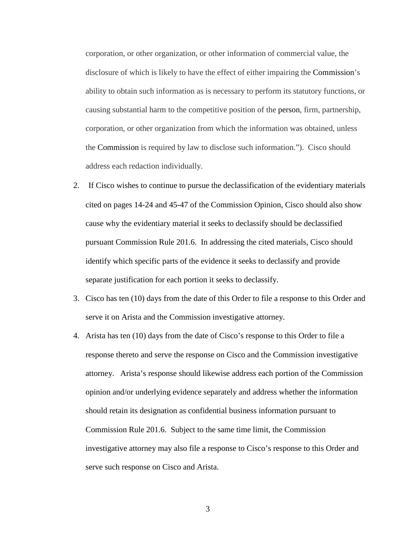corporation, or other organization, or other information of commercial value, the disclosure of which is likely to have the effect of either impairing the Commission's ability to obtain such information as is necessary to perform its statutory functions, or causing substantial harm to the competitive position of the person, firm, partnership, corporation, or other organization from which the information was obtained, unless the Commission is required by law to disclose such information."). Cisco should address each redaction individually.

- 2. If Cisco wishes to continue to pursue the declassification of the evidentiary materials cited on pages 14-24 and 45-47 of the Commission Opinion, Cisco should also show cause why the evidentiary material it seeks to declassify should be declassified pursuant Commission Rule 201.6. In addressing the cited materials, Cisco should identify which specific parts of the evidence it seeks to declassify and provide separate justification for each portion it seeks to declassify.
- 3. Cisco has ten (10) days from the date of this Order to file a response to this Order and serve it on Arista and the Commission investigative attorney.
- 4. Arista has ten (10) days from the date of Cisco's response to this Order to file a response thereto and serve the response on Cisco and the Commission investigative attorney. Arista's response should likewise address each portion of the Commission opinion and/or underlying evidence separately and address whether the information should retain its designation as confidential business information pursuant to Commission Rule 201.6. Subject to the same time limit, the Commission investigative attorney may also file a response to Cisco's response to this Order and serve such response on Cisco and Arista.

3